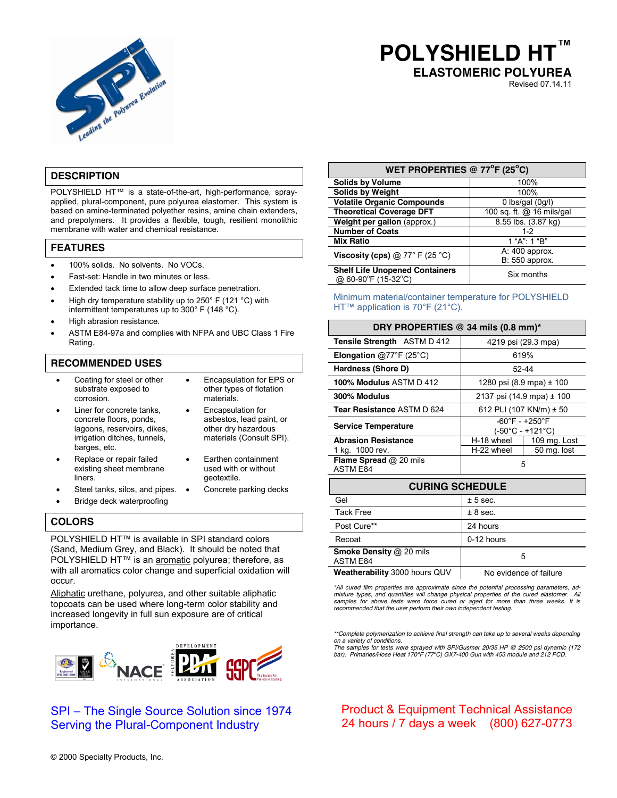

# **POLYSHIELD H ELASTOMERIC POLYUREA**

Revised 07.14.11

# **DESCRIPTION**

POLYSHIELD HT™ is a state-of-the-art, high-performance, sprayapplied, plural-component, pure polyurea elastomer. This system is based on amine-terminated polyether resins, amine chain extenders, and prepolymers. It provides a flexible, tough, resilient monolithic membrane with water and chemical resistance.

#### **FEATURES**

- 100% solids. No solvents. No VOCs.
- Fast-set: Handle in two minutes or less.
- Extended tack time to allow deep surface penetration.
- High dry temperature stability up to 250 $\degree$  F (121  $\degree$ C) with intermittent temperatures up to 300° F (148 °C).
- High abrasion resistance.
- ASTM E84-97a and complies with NFPA and UBC Class 1 Fire Rating.

## **RECOMMENDED USES**

- Coating for steel or other substrate exposed to corrosion.
	- Liner for concrete tanks concrete floors, ponds, lagoons, reservoirs, dikes. irrigation ditches, tunnels, barges, etc.
		- asbestos, lead paint, or other dry hazardous materials (Consult SPI).

Earthen containment used with or without

Encapsulation for

materials.

geotextile.

Encapsulation for EPS or other types of flotation

- Replace or repair failed existing sheet membrane liners.
- Steel tanks, silos, and pipes. Concrete parking decks
- Bridge deck waterproofing

## **COLORS**

POLYSHIELD HT™ is available in SPI standard colors (Sand, Medium Grey, and Black). It should be noted that POLYSHIELD HT™ is an aromatic polyurea; therefore, as with all aromatics color change and superficial oxidation will occur.

Aliphatic urethane, polyurea, and other suitable aliphatic topcoats can be used where long-term color stability and increased longevity in full sun exposure are of critical importance.



# SPI – The Single Source Solution since 1974 Serving the Plural-Component Industry

| WET PROPERTIES @ $77^{\circ}$ F (25°C)                       |                           |  |
|--------------------------------------------------------------|---------------------------|--|
| <b>Solids by Volume</b>                                      | 100%                      |  |
| <b>Solids by Weight</b>                                      | 100%                      |  |
| <b>Volatile Organic Compounds</b>                            | 0 lbs/gal $(0g/l)$        |  |
| <b>Theoretical Coverage DFT</b>                              | 100 sq. ft. @ 16 mils/gal |  |
| Weight per gallon (approx.)                                  | 8.55 lbs. (3.87 kg)       |  |
| <b>Number of Coats</b>                                       | $1 - 2$                   |  |
| <b>Mix Ratio</b>                                             | 1 "A": 1 "B"              |  |
| Viscosity (cps) $@ 77° F (25 °C)$                            | A: 400 approx.            |  |
|                                                              | B: 550 approx.            |  |
| <b>Shelf Life Unopened Containers</b><br>@ 60-90°F (15-32°C) | Six months                |  |

Minimum material/container temperature for POLYSHIELD HT™ application is 70°F (21°C).

| DRY PROPERTIES @ 34 mils (0.8 mm)*        |                                                        |                              |
|-------------------------------------------|--------------------------------------------------------|------------------------------|
| <b>Tensile Strength</b> ASTM D 412        | 4219 psi (29.3 mpa)                                    |                              |
| <b>Elongation</b> @77°F (25°C)            |                                                        | 619%                         |
| Hardness (Shore D)                        |                                                        | 52-44                        |
| 100% Modulus ASTM D 412                   |                                                        | 1280 psi (8.9 mpa) $\pm$ 100 |
| 300% Modulus                              |                                                        | 2137 psi (14.9 mpa) ± 100    |
| Tear Resistance ASTM D 624                |                                                        | 612 PLI (107 KN/m) ± 50      |
| <b>Service Temperature</b>                | $-60^{\circ}$ F - $+250^{\circ}$ F<br>(-50°C - +121°C) |                              |
| <b>Abrasion Resistance</b>                | H-18 wheel                                             | 109 mg. Lost                 |
| 1 kg. 1000 rev.                           | H-22 wheel                                             | 50 mg. lost                  |
| Flame Spread @ 20 mils<br><b>ASTM E84</b> | 5                                                      |                              |
|                                           |                                                        |                              |

| <b>CURING SCHEDULE</b>                            |                        |  |
|---------------------------------------------------|------------------------|--|
| Gel                                               | ± 5 sec.               |  |
| <b>Tack Free</b>                                  | ± 8 sec.               |  |
| Post Cure**                                       | 24 hours               |  |
| Recoat                                            | 0-12 hours             |  |
| <b>Smoke Density @ 20 mils</b><br><b>ASTM E84</b> | 5                      |  |
| Weatherability 3000 hours QUV                     | No evidence of failure |  |

*\*All cured film properties are approximate since the potential processing parameters, admixture types, and quantities will change physical properties of the cured elastomer. All samples for above tests were force cured or aged for more than three weeks. It is recommended that the user perform their own independent testing.*

*\*\*Complete polymerization to achieve final strength can take up to several weeks depending on a variety of conditions.*

*The samples for tests were sprayed with SPI/Gusmer 20/35 HP @ 2500 psi dynamic (172 bar). Primaries/Hose Heat 170°F (77<sup>o</sup> C) GX7-400 Gun with 453 module and 212 PCD.*

# Product & Equipment Technical Assistance 24 hours / 7 days a week (800) 627-0773